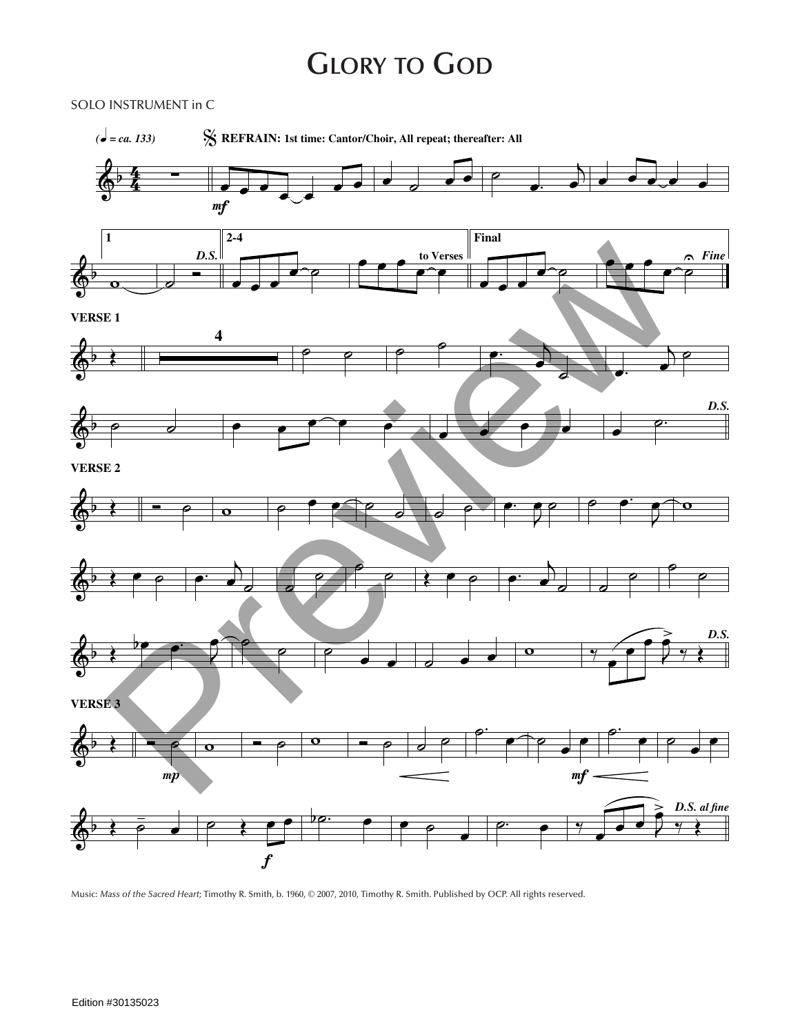## **Glory to God**

SOLO INSTRUMENT in C



Music: *Mass of the Sacred Heart*; Timothy R. Smith, b. 1960, © 2007, 2010, Timothy R. Smith. Published by OCP. All rights reserved.